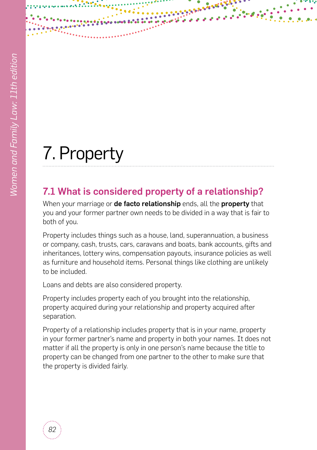# 7. Property

# 7.1 What is considered property of a relationship?

When your marriage or de facto relationship ends, all the property that you and your former partner own needs to be divided in a way that is fair to both of you.

Property includes things such as a house, land, superannuation, a business or company, cash, trusts, cars, caravans and boats, bank accounts, gifts and inheritances, lottery wins, compensation payouts, insurance policies as well as furniture and household items. Personal things like clothing are unlikely to be included.

Loans and debts are also considered property.

Property includes property each of you brought into the relationship, property acquired during your relationship and property acquired after separation.

Property of a relationship includes property that is in your name, property in your former partner's name and property in both your names. It does not matter if all the property is only in one person's name because the title to property can be changed from one partner to the other to make sure that the property is divided fairly.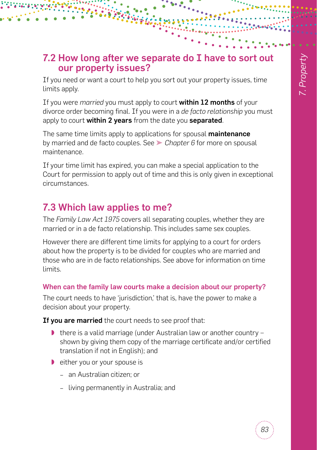# 7.2 How long after we separate do I have to sort out our property issues?

If you need or want a court to help you sort out your property issues, time limits apply.

If you were *married* you must apply to court within 12 months of your divorce order becoming final. If you were in a *de facto relationship* you must apply to court within 2 years from the date you separated.

The same time limits apply to applications for spousal **maintenance** by married and de facto couples. See ➤ *[Chapter 6](#page--1-0)* for more on spousal maintenance.

If your time limit has expired, you can make a special application to the Court for permission to apply out of time and this is only given in exceptional circumstances.

# 7.3 Which law applies to me?

The *Family Law Act 1975* covers all separating couples, whether they are married or in a de facto relationship. This includes same sex couples.

However there are different time limits for applying to a court for orders about how the property is to be divided for couples who are married and those who are in de facto relationships. See above for information on time limits.

## When can the family law courts make a decision about our property?

The court needs to have 'jurisdiction,' that is, have the power to make a decision about your property.

If you are married the court needs to see proof that:

- there is a valid marriage (under Australian law or another country shown by giving them copy of the marriage certificate and/or certified translation if not in English); and
- ◗ either you or your spouse is
	- − an Australian citizen; or
	- − living permanently in Australia; and

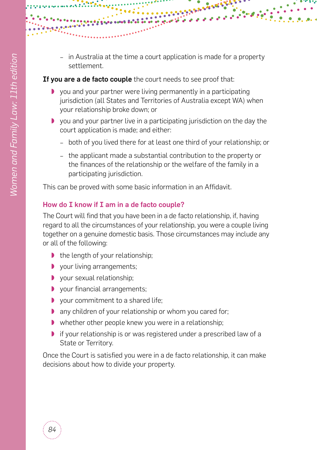− in Australia at the time a court application is made for a property settlement.

ू<br>१०५४ घ

### If you are a de facto couple the court needs to see proof that:

- ◗ you and your partner were living permanently in a participating jurisdiction (all States and Territories of Australia except WA) when your relationship broke down; or
- ◗ you and your partner live in a participating jurisdiction on the day the court application is made; and either:
	- − both of you lived there for at least one third of your relationship; or
	- − the applicant made a substantial contribution to the property or the finances of the relationship or the welfare of the family in a participating jurisdiction.

This can be proved with some basic information in an Affidavit.

### How do I know if I am in a de facto couple?

The Court will find that you have been in a de facto relationship, if, having regard to all the circumstances of your relationship, you were a couple living together on a genuine domestic basis. Those circumstances may include any or all of the following:

- ◗ the length of your relationship;
- ◗ your living arrangements;
- ◗ your sexual relationship;
- ◗ your financial arrangements;
- ◗ your commitment to a shared life;
- ◗ any children of your relationship or whom you cared for;
- ◗ whether other people knew you were in a relationship;
- if your relationship is or was registered under a prescribed law of a State or Territory.

Once the Court is satisfied you were in a de facto relationship, it can make decisions about how to divide your property.

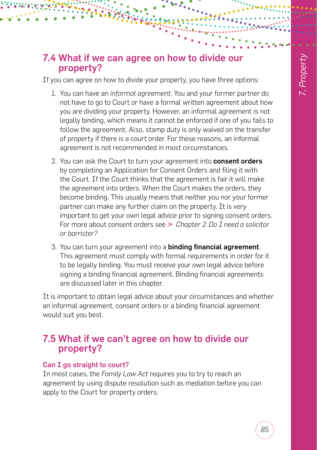# 7.4 What if we can agree on how to divide our property?

If you can agree on how to divide your property, you have three options:

- 1. You can have an *informal agreement*. You and your former partner do not have to go to Court or have a formal written agreement about how you are dividing your property. However, an informal agreement is not legally binding, which means it cannot be enforced if one of you fails to follow the agreement. Also, stamp duty is only waived on the transfer of property if there is a court order. For these reasons, an informal agreement is not recommended in most circumstances.
- 2. You can ask the Court to turn your agreement into consent orders by completing an Application for Consent Orders and filing it with the Court. If the Court thinks that the agreement is fair it will make the agreement into orders. When the Court makes the orders, they become binding. This usually means that neither you nor your former partner can make any further claim on the property. It is very important to get your own legal advice prior to signing consent orders. For more about consent orders see ➤ *[Chapter 2: Do I need a solicitor](#page--1-1)  [or barrister?](#page--1-1)*
- 3. You can turn your agreement into a binding financial agreement. This agreement must comply with formal requirements in order for it to be legally binding. You must receive your own legal advice before signing a binding financial agreement. Binding financial agreements are discussed later in this chapter.

It is important to obtain legal advice about your circumstances and whether an informal agreement, consent orders or a binding financial agreement would suit you best.

# 7.5 What if we can't agree on how to divide our property?

## Can I go straight to court?

In most cases, the *Family Law Act* requires you to try to reach an agreement by using dispute resolution such as mediation before you can apply to the Court for property orders.

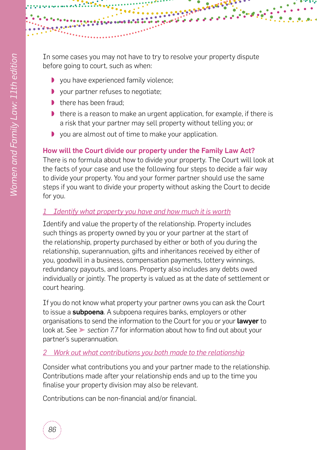

In some cases you may not have to try to resolve your property dispute before going to court, such as when:

- ◗ you have experienced family violence;
- ◗ your partner refuses to negotiate;
- there has been fraud:
- ◗ there is a reason to make an urgent application, for example, if there is a risk that your partner may sell property without telling you; or
- ◗ you are almost out of time to make your application.

## How will the Court divide our property under the Family Law Act?

There is no formula about how to divide your property. The Court will look at the facts of your case and use the following four steps to decide a fair way to divide your property. You and your former partner should use the same steps if you want to divide your property without asking the Court to decide for you.

## *1 Identify what property you have and how much it is worth*

Identify and value the property of the relationship. Property includes such things as property owned by you or your partner at the start of the relationship, property purchased by either or both of you during the relationship, superannuation, gifts and inheritances received by either of you, goodwill in a business, compensation payments, lottery winnings, redundancy payouts, and loans. Property also includes any debts owed individually or jointly. The property is valued as at the date of settlement or court hearing.

If you do not know what property your partner owns you can ask the Court to issue a **subpoena**. A subpoena requires banks, employers or other organisations to send the information to the Court for you or your lawyer to look at. See ➤ *[section 7.7](#page-8-0)* for information about how to find out about your partner's superannuation.

## *2 Work out what contributions you both made to the relationship*

Consider what contributions you and your partner made to the relationship. Contributions made after your relationship ends and up to the time you finalise your property division may also be relevant.

Contributions can be non-financial and/or financial.

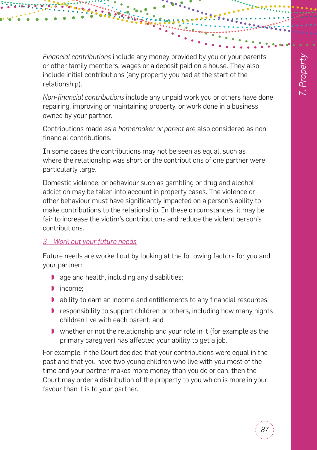*Financial contributions* include any money provided by you or your parents or other family members, wages or a deposit paid on a house. They also include initial contributions (any property you had at the start of the relationship).

*Non-financial contributions* include any unpaid work you or others have done repairing, improving or maintaining property, or work done in a business owned by your partner.

Contributions made as a *homemaker or parent* are also considered as nonfinancial contributions.

In some cases the contributions may not be seen as equal, such as where the relationship was short or the contributions of one partner were particularly large.

Domestic violence, or behaviour such as gambling or drug and alcohol addiction may be taken into account in property cases. The violence or other behaviour must have significantly impacted on a person's ability to make contributions to the relationship. In these circumstances, it may be fair to increase the victim's contributions and reduce the violent person's contributions.

### *3 Work out your future needs*

Future needs are worked out by looking at the following factors for you and your partner:

- ◗ age and health, including any disabilities;
- ◗ income;
- ◗ ability to earn an income and entitlements to any financial resources;
- ◗ responsibility to support children or others, including how many nights children live with each parent; and
- whether or not the relationship and your role in it (for example as the primary caregiver) has affected your ability to get a job.

For example, if the Court decided that your contributions were equal in the past and that you have two young children who live with you most of the time and your partner makes more money than you do or can, then the Court may order a distribution of the property to you which is more in your favour than it is to your partner.

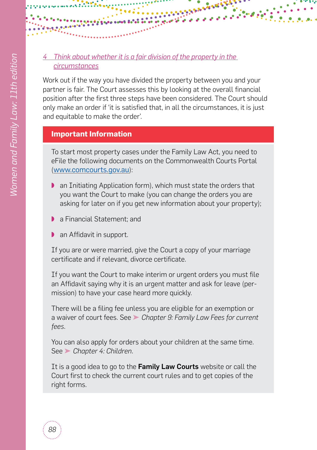### *4 Think about whether it is a fair division of the property in the circumstances*

Work out if the way you have divided the property between you and your partner is fair. The Court assesses this by looking at the overall financial position after the first three steps have been considered. The Court should only make an order if 'it is satisfied that, in all the circumstances, it is just and equitable to make the order'.

# **Important Information**

To start most property cases under the Family Law Act, you need to eFile the following documents on the Commonwealth Courts Portal ([www.comcourts.gov.au](http://www.comcourts.gov.au)):

- ◗ an Initiating Application form), which must state the orders that you want the Court to make (you can change the orders you are asking for later on if you get new information about your property);
- a Financial Statement: and
- ◗ an Affidavit in support.

If you are or were married, give the Court a copy of your marriage certificate and if relevant, divorce certificate.

If you want the Court to make interim or urgent orders you must file an Affidavit saying why it is an urgent matter and ask for leave (permission) to have your case heard more quickly.

There will be a filing fee unless you are eligible for an exemption or a waiver of court fees. See ➤ *[Chapter 9: Family Law Fees](#page--1-1) for current fees*.

You can also apply for orders about your children at the same time. See ➤ *[Chapter 4: Children](#page--1-0)*.

It is a good idea to go to the Family Law Courts website or call the Court first to check the current court rules and to get copies of the right forms.

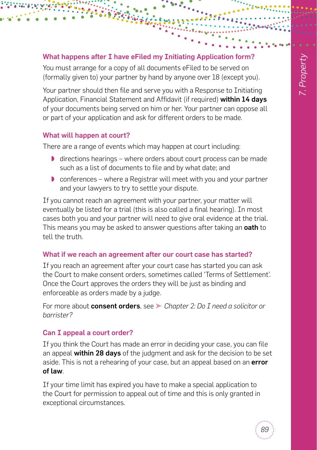### What happens after I have eFiled my Initiating Application form?

You must arrange for a copy of all documents eFiled to be served on (formally given to) your partner by hand by anyone over 18 (except you).

Your partner should then file and serve you with a Response to Initiating Application, Financial Statement and Affidavit (if required) within 14 days of your documents being served on him or her. Your partner can oppose all or part of your application and ask for different orders to be made.

### What will happen at court?

There are a range of events which may happen at court including:

- directions hearings where orders about court process can be made such as a list of documents to file and by what date; and
- ◗ conferences where a Registrar will meet with you and your partner and your lawyers to try to settle your dispute.

If you cannot reach an agreement with your partner, your matter will eventually be listed for a trial (this is also called a final hearing). In most cases both you and your partner will need to give oral evidence at the trial. This means you may be asked to answer questions after taking an oath to tell the truth.

#### What if we reach an agreement after our court case has started?

If you reach an agreement after your court case has started you can ask the Court to make consent orders, sometimes called 'Terms of Settlement'. Once the Court approves the orders they will be just as binding and enforceable as orders made by a judge.

For more about consent orders, see ➤ *[Chapter 2: Do I need a solicitor or](#page--1-1)  [barrister?](#page--1-1)*

### Can I appeal a court order?

If you think the Court has made an error in deciding your case, you can file an appeal within 28 days of the judgment and ask for the decision to be set aside. This is not a rehearing of your case, but an appeal based on an error of law.

If your time limit has expired you have to make a special application to the Court for permission to appeal out of time and this is only granted in exceptional circumstances.

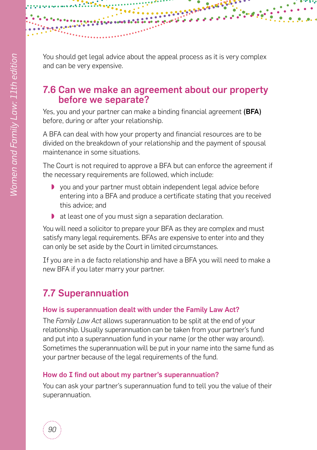

ૣૺૣ૾૾ૢ૾ૢ૾ૢ૾૱ૹૻ૾૾૾ૢ

# 7.6 Can we make an agreement about our property before we separate?

Yes, you and your partner can make a binding financial agreement (BFA) before, during or after your relationship.

A BFA can deal with how your property and financial resources are to be divided on the breakdown of your relationship and the payment of spousal maintenance in some situations.

The Court is not required to approve a BFA but can enforce the agreement if the necessary requirements are followed, which include:

- ◗ you and your partner must obtain independent legal advice before entering into a BFA and produce a certificate stating that you received this advice; and
- ◗ at least one of you must sign a separation declaration.

You will need a solicitor to prepare your BFA as they are complex and must satisfy many legal requirements. BFAs are expensive to enter into and they can only be set aside by the Court in limited circumstances.

If you are in a de facto relationship and have a BFA you will need to make a new BFA if you later marry your partner.

# <span id="page-8-0"></span>7.7 Superannuation

### How is superannuation dealt with under the Family Law Act?

The *Family Law Act* allows superannuation to be split at the end of your relationship. Usually superannuation can be taken from your partner's fund and put into a superannuation fund in your name (or the other way around). Sometimes the superannuation will be put in your name into the same fund as your partner because of the legal requirements of the fund.

### How do I find out about my partner's superannuation?

You can ask your partner's superannuation fund to tell you the value of their superannuation.

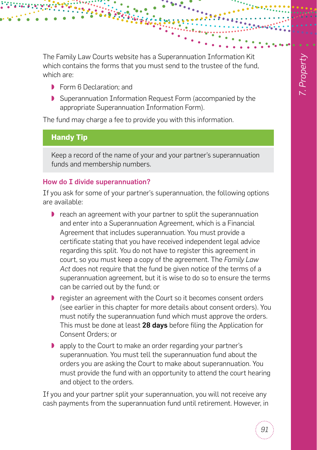The Family Law Courts website has a Superannuation Information Kit which contains the forms that you must send to the trustee of the fund, which are:

- ◗ Form 6 Declaration; and
- Superannuation Information Request Form (accompanied by the appropriate Superannuation Information Form).

The fund may charge a fee to provide you with this information.

## **Handy Tip**

Keep a record of the name of your and your partner's superannuation funds and membership numbers.

### How do I divide superannuation?

If you ask for some of your partner's superannuation, the following options are available:

- ◗ reach an agreement with your partner to split the superannuation and enter into a Superannuation Agreement, which is a Financial Agreement that includes superannuation. You must provide a certificate stating that you have received independent legal advice regarding this split. You do not have to register this agreement in court, so you must keep a copy of the agreement. The *Family Law Act* does not require that the fund be given notice of the terms of a superannuation agreement, but it is wise to do so to ensure the terms can be carried out by the fund; or
- register an agreement with the Court so it becomes consent orders (see earlier in this chapter for more details about consent orders). You must notify the superannuation fund which must approve the orders. This must be done at least 28 davs before filing the Application for Consent Orders; or
- ◗ apply to the Court to make an order regarding your partner's superannuation. You must tell the superannuation fund about the orders you are asking the Court to make about superannuation. You must provide the fund with an opportunity to attend the court hearing and object to the orders.

If you and your partner split your superannuation, you will not receive any cash payments from the superannuation fund until retirement. However, in

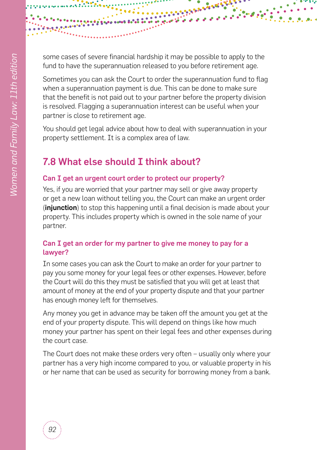

some cases of severe financial hardship it may be possible to apply to the fund to have the superannuation released to you before retirement age.

Sometimes you can ask the Court to order the superannuation fund to flag when a superannuation payment is due. This can be done to make sure that the benefit is not paid out to your partner before the property division is resolved. Flagging a superannuation interest can be useful when your partner is close to retirement age.

You should get legal advice about how to deal with superannuation in your property settlement. It is a complex area of law.

# 7.8 What else should I think about?

# Can I get an urgent court order to protect our property?

Yes, if you are worried that your partner may sell or give away property or get a new loan without telling you, the Court can make an urgent order (*injunction*) to stop this happening until a final decision is made about your property. This includes property which is owned in the sole name of your partner.

# Can I get an order for my partner to give me money to pay for a lawyer?

In some cases you can ask the Court to make an order for your partner to pay you some money for your legal fees or other expenses. However, before the Court will do this they must be satisfied that you will get at least that amount of money at the end of your property dispute and that your partner has enough money left for themselves.

Any money you get in advance may be taken off the amount you get at the end of your property dispute. This will depend on things like how much money your partner has spent on their legal fees and other expenses during the court case.

The Court does not make these orders very often – usually only where your partner has a very high income compared to you, or valuable property in his or her name that can be used as security for borrowing money from a bank.

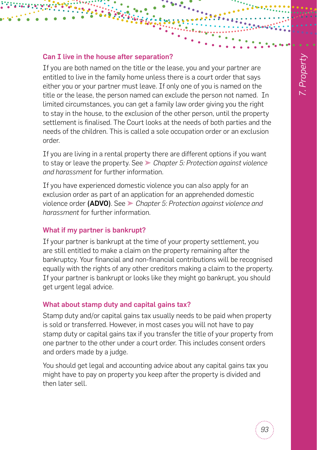#### Can I live in the house after separation?

If you are both named on the title or the lease, you and your partner are entitled to live in the family home unless there is a court order that says either you or your partner must leave. If only one of you is named on the title or the lease, the person named can exclude the person not named. In limited circumstances, you can get a family law order giving you the right to stay in the house, to the exclusion of the other person, until the property settlement is finalised. The Court looks at the needs of both parties and the needs of the children. This is called a sole occupation order or an exclusion order.

If you are living in a rental property there are different options if you want to stay or leave the property. See ➤ *[Chapter 5: Protection against violence](#page--1-0)  [and harassment](#page--1-0)* for further information.

If you have experienced domestic violence you can also apply for an exclusion order as part of an application for an apprehended domestic violence order (ADVO). See ➤ *[Chapter 5: Protection against violence and](#page--1-0)  [harassment](#page--1-0)* for further information.

### What if my partner is bankrupt?

If your partner is bankrupt at the time of your property settlement, you are still entitled to make a claim on the property remaining after the bankruptcy. Your financial and non-financial contributions will be recognised equally with the rights of any other creditors making a claim to the property. If your partner is bankrupt or looks like they might go bankrupt, you should get urgent legal advice.

#### What about stamp duty and capital gains tax?

Stamp duty and/or capital gains tax usually needs to be paid when property is sold or transferred. However, in most cases you will not have to pay stamp duty or capital gains tax if you transfer the title of your property from one partner to the other under a court order. This includes consent orders and orders made by a judge.

You should get legal and accounting advice about any capital gains tax you might have to pay on property you keep after the property is divided and then later sell.

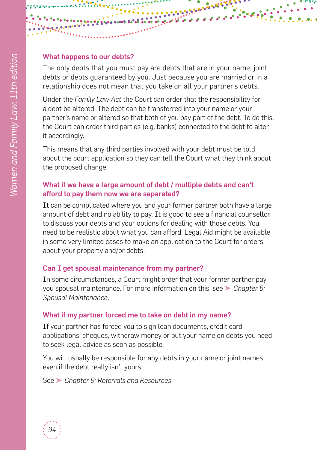#### What happens to our debts?

The only debts that you must pay are debts that are in your name, joint debts or debts guaranteed by you. Just because you are married or in a relationship does not mean that you take on all your partner's debts.

Under the *Family Law Act* the Court can order that the responsibility for a debt be altered. The debt can be transferred into your name or your partner's name or altered so that both of you pay part of the debt. To do this, the Court can order third parties (e.g. banks) connected to the debt to alter it accordingly.

This means that any third parties involved with your debt must be told about the court application so they can tell the Court what they think about the proposed change.

### What if we have a large amount of debt / multiple debts and can't afford to pay them now we are separated?

It can be complicated where you and your former partner both have a large amount of debt and no ability to pay. It is good to see a financial counsellor to discuss your debts and your options for dealing with those debts. You need to be realistic about what you can afford. Legal Aid might be available in some very limited cases to make an application to the Court for orders about your property and/or debts.

### Can I get spousal maintenance from my partner?

In some circumstances, a Court might order that your former partner pay you spousal maintenance. For more information on this, see ➤ *[Chapter 6:](#page--1-0)  [Spousal Maintenance](#page--1-0)*.

### What if my partner forced me to take on debt in my name?

If your partner has forced you to sign loan documents, credit card applications, cheques, withdraw money or put your name on debts you need to seek legal advice as soon as possible.

You will usually be responsible for any debts in your name or joint names even if the debt really isn't yours.

See ➤ *[Chapter 9: Referrals and Resources](#page--1-0)*.

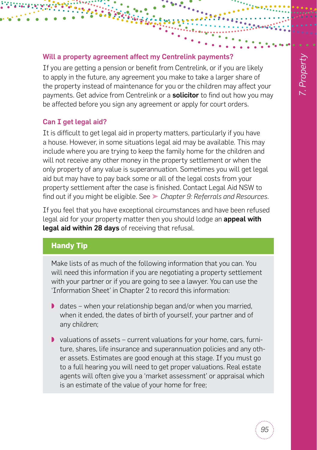#### Will a property agreement affect my Centrelink payments?

If you are getting a pension or benefit from Centrelink, or if you are likely to apply in the future, any agreement you make to take a larger share of the property instead of maintenance for you or the children may affect your payments. Get advice from Centrelink or a **solicitor** to find out how you may be affected before you sign any agreement or apply for court orders.

### Can I get legal aid?

It is difficult to get legal aid in property matters, particularly if you have a house. However, in some situations legal aid may be available. This may include where you are trying to keep the family home for the children and will not receive any other money in the property settlement or when the only property of any value is superannuation. Sometimes you will get legal aid but may have to pay back some or all of the legal costs from your property settlement after the case is finished. Contact Legal Aid NSW to find out if you might be eligible. See ➤ *[Chapter 9: Referrals and Resources](#page--1-0)*.

If you feel that you have exceptional circumstances and have been refused legal aid for your property matter then you should lodge an **appeal with** legal aid within 28 days of receiving that refusal.

# **Handy Tip**

Make lists of as much of the following information that you can. You will need this information if you are negotiating a property settlement with your partner or if you are going to see a lawyer. You can use the ['Information Sheet'](#page--1-2) in Chapter 2 to record this information:

- ◗ dates when your relationship began and/or when you married, when it ended, the dates of birth of yourself, your partner and of any children;
- ◗ valuations of assets current valuations for your home, cars, furniture, shares, life insurance and superannuation policies and any other assets. Estimates are good enough at this stage. If you must go to a full hearing you will need to get proper valuations. Real estate agents will often give you a 'market assessment' or appraisal which is an estimate of the value of your home for free;